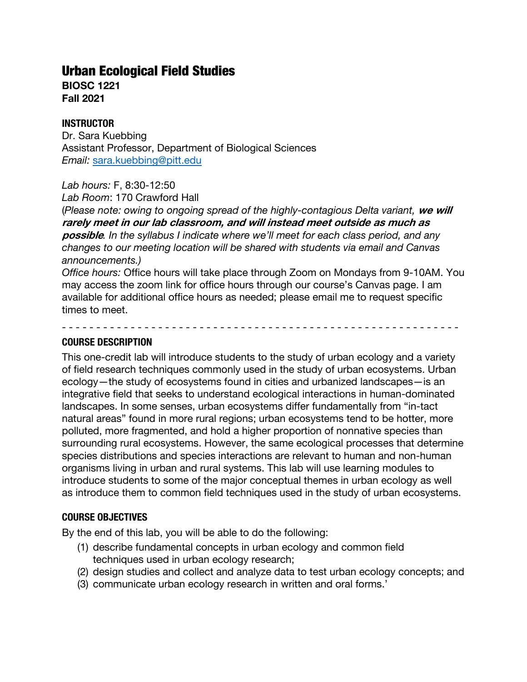# Urban Ecological Field Studies

**BIOSC 1221 Fall 2021**

#### **INSTRUCTOR**

Dr. Sara Kuebbing Assistant Professor, Department of Biological Sciences *Email:* sara.kuebbing@pitt.edu

*Lab hours:* F, 8:30-12:50

*Lab Room*: 170 Crawford Hall

(*Please note: owing to ongoing spread of the highly-contagious Delta variant,* **we will rarely meet in our lab classroom, and will instead meet outside as much as possible***. In the syllabus I indicate where we'll meet for each class period, and any changes to our meeting location will be shared with students via email and Canvas announcements.)*

*Office hours:* Office hours will take place through Zoom on Mondays from 9-10AM. You may access the zoom link for office hours through our course's Canvas page. I am available for additional office hours as needed; please email me to request specific times to meet.

- - - - - - - - - - - - - - - - - - - - - - - - - - - - - - - - - - - - - - - - - - - - - - - - - - - - - - - - - -

#### **COURSE DESCRIPTION**

This one-credit lab will introduce students to the study of urban ecology and a variety of field research techniques commonly used in the study of urban ecosystems. Urban ecology—the study of ecosystems found in cities and urbanized landscapes—is an integrative field that seeks to understand ecological interactions in human-dominated landscapes. In some senses, urban ecosystems differ fundamentally from "in-tact natural areas" found in more rural regions; urban ecosystems tend to be hotter, more polluted, more fragmented, and hold a higher proportion of nonnative species than surrounding rural ecosystems. However, the same ecological processes that determine species distributions and species interactions are relevant to human and non-human organisms living in urban and rural systems. This lab will use learning modules to introduce students to some of the major conceptual themes in urban ecology as well as introduce them to common field techniques used in the study of urban ecosystems.

# **COURSE OBJECTIVES**

By the end of this lab, you will be able to do the following:

- (1) describe fundamental concepts in urban ecology and common field techniques used in urban ecology research;
- (2) design studies and collect and analyze data to test urban ecology concepts; and
- (3) communicate urban ecology research in written and oral forms.'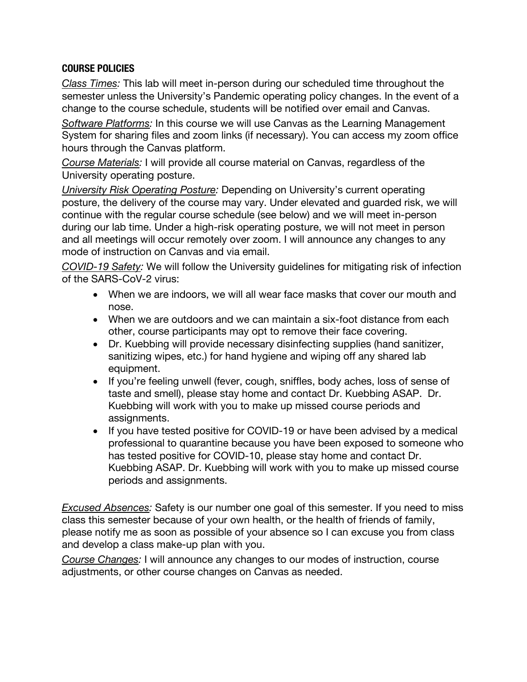# **COURSE POLICIES**

*Class Times:* This lab will meet in-person during our scheduled time throughout the semester unless the University's Pandemic operating policy changes. In the event of a change to the course schedule, students will be notified over email and Canvas.

*Software Platforms:* In this course we will use Canvas as the Learning Management System for sharing files and zoom links (if necessary). You can access my zoom office hours through the Canvas platform.

*Course Materials:* I will provide all course material on Canvas, regardless of the University operating posture.

*University Risk Operating Posture:* Depending on University's current operating posture, the delivery of the course may vary. Under elevated and guarded risk, we will continue with the regular course schedule (see below) and we will meet in-person during our lab time. Under a high-risk operating posture, we will not meet in person and all meetings will occur remotely over zoom. I will announce any changes to any mode of instruction on Canvas and via email.

*COVID-19 Safety:* We will follow the University guidelines for mitigating risk of infection of the SARS-CoV-2 virus:

- When we are indoors, we will all wear face masks that cover our mouth and nose.
- When we are outdoors and we can maintain a six-foot distance from each other, course participants may opt to remove their face covering.
- Dr. Kuebbing will provide necessary disinfecting supplies (hand sanitizer, sanitizing wipes, etc.) for hand hygiene and wiping off any shared lab equipment.
- If you're feeling unwell (fever, cough, sniffles, body aches, loss of sense of taste and smell), please stay home and contact Dr. Kuebbing ASAP. Dr. Kuebbing will work with you to make up missed course periods and assignments.
- If you have tested positive for COVID-19 or have been advised by a medical professional to quarantine because you have been exposed to someone who has tested positive for COVID-10, please stay home and contact Dr. Kuebbing ASAP. Dr. Kuebbing will work with you to make up missed course periods and assignments.

*Excused Absences:* Safety is our number one goal of this semester. If you need to miss class this semester because of your own health, or the health of friends of family, please notify me as soon as possible of your absence so I can excuse you from class and develop a class make-up plan with you.

*Course Changes:* I will announce any changes to our modes of instruction, course adjustments, or other course changes on Canvas as needed.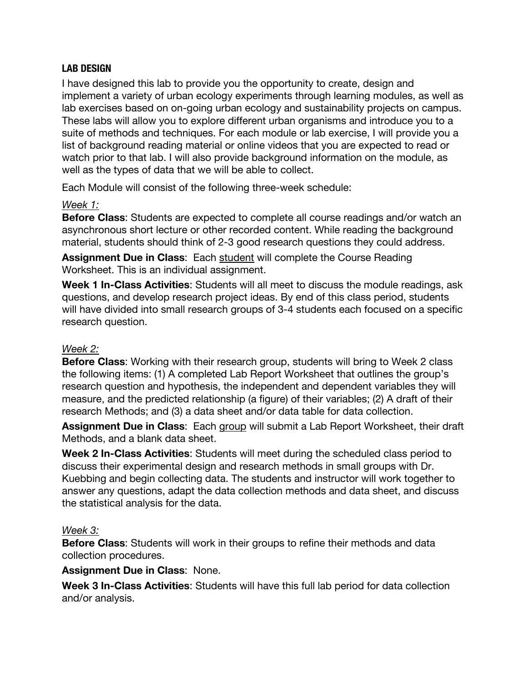# **LAB DESIGN**

I have designed this lab to provide you the opportunity to create, design and implement a variety of urban ecology experiments through learning modules, as well as lab exercises based on on-going urban ecology and sustainability projects on campus. These labs will allow you to explore different urban organisms and introduce you to a suite of methods and techniques. For each module or lab exercise, I will provide you a list of background reading material or online videos that you are expected to read or watch prior to that lab. I will also provide background information on the module, as well as the types of data that we will be able to collect.

Each Module will consist of the following three-week schedule:

### *Week 1:*

**Before Class**: Students are expected to complete all course readings and/or watch an asynchronous short lecture or other recorded content. While reading the background material, students should think of 2-3 good research questions they could address.

**Assignment Due in Class**: Each student will complete the Course Reading Worksheet. This is an individual assignment.

**Week 1 In-Class Activities**: Students will all meet to discuss the module readings, ask questions, and develop research project ideas. By end of this class period, students will have divided into small research groups of 3-4 students each focused on a specific research question.

#### *Week 2:*

**Before Class**: Working with their research group, students will bring to Week 2 class the following items: (1) A completed Lab Report Worksheet that outlines the group's research question and hypothesis, the independent and dependent variables they will measure, and the predicted relationship (a figure) of their variables; (2) A draft of their research Methods; and (3) a data sheet and/or data table for data collection.

**Assignment Due in Class**: Each group will submit a Lab Report Worksheet, their draft Methods, and a blank data sheet.

**Week 2 In-Class Activities**: Students will meet during the scheduled class period to discuss their experimental design and research methods in small groups with Dr. Kuebbing and begin collecting data. The students and instructor will work together to answer any questions, adapt the data collection methods and data sheet, and discuss the statistical analysis for the data.

#### *Week 3:*

**Before Class**: Students will work in their groups to refine their methods and data collection procedures.

#### **Assignment Due in Class**: None.

**Week 3 In-Class Activities**: Students will have this full lab period for data collection and/or analysis.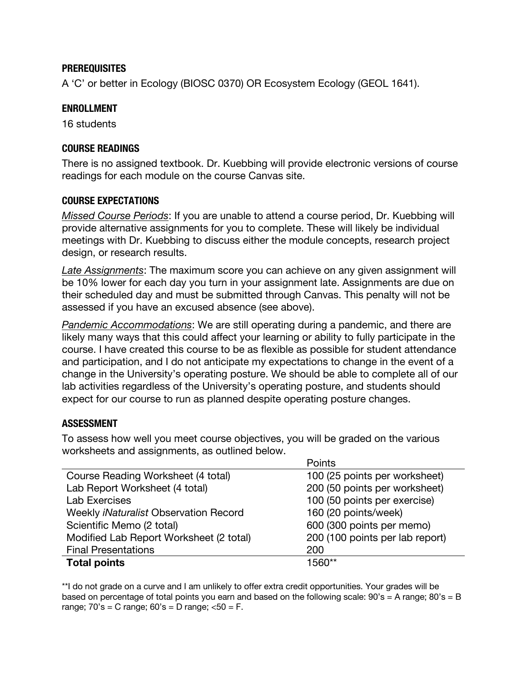#### **PREREQUISITES**

A 'C' or better in Ecology (BIOSC 0370) OR Ecosystem Ecology (GEOL 1641).

#### **ENROLLMENT**

16 students

#### **COURSE READINGS**

There is no assigned textbook. Dr. Kuebbing will provide electronic versions of course readings for each module on the course Canvas site.

#### **COURSE EXPECTATIONS**

*Missed Course Periods*: If you are unable to attend a course period, Dr. Kuebbing will provide alternative assignments for you to complete. These will likely be individual meetings with Dr. Kuebbing to discuss either the module concepts, research project design, or research results.

*Late Assignments*: The maximum score you can achieve on any given assignment will be 10% lower for each day you turn in your assignment late. Assignments are due on their scheduled day and must be submitted through Canvas. This penalty will not be assessed if you have an excused absence (see above).

*Pandemic Accommodations*: We are still operating during a pandemic, and there are likely many ways that this could affect your learning or ability to fully participate in the course. I have created this course to be as flexible as possible for student attendance and participation, and I do not anticipate my expectations to change in the event of a change in the University's operating posture. We should be able to complete all of our lab activities regardless of the University's operating posture, and students should expect for our course to run as planned despite operating posture changes.

#### **ASSESSMENT**

To assess how well you meet course objectives, you will be graded on the various worksheets and assignments, as outlined below.

|                                              | Points                          |  |
|----------------------------------------------|---------------------------------|--|
| Course Reading Worksheet (4 total)           | 100 (25 points per worksheet)   |  |
| Lab Report Worksheet (4 total)               | 200 (50 points per worksheet)   |  |
| <b>Lab Exercises</b>                         | 100 (50 points per exercise)    |  |
| Weekly <i>iNaturalist</i> Observation Record | 160 (20 points/week)            |  |
| Scientific Memo (2 total)                    | 600 (300 points per memo)       |  |
| Modified Lab Report Worksheet (2 total)      | 200 (100 points per lab report) |  |
| <b>Final Presentations</b>                   | 200                             |  |
| <b>Total points</b>                          | 1560**                          |  |

\*\*I do not grade on a curve and I am unlikely to offer extra credit opportunities. Your grades will be based on percentage of total points you earn and based on the following scale:  $90's = A$  range;  $80's = B$ range;  $70's = C$  range;  $60's = D$  range;  $<50 = F$ .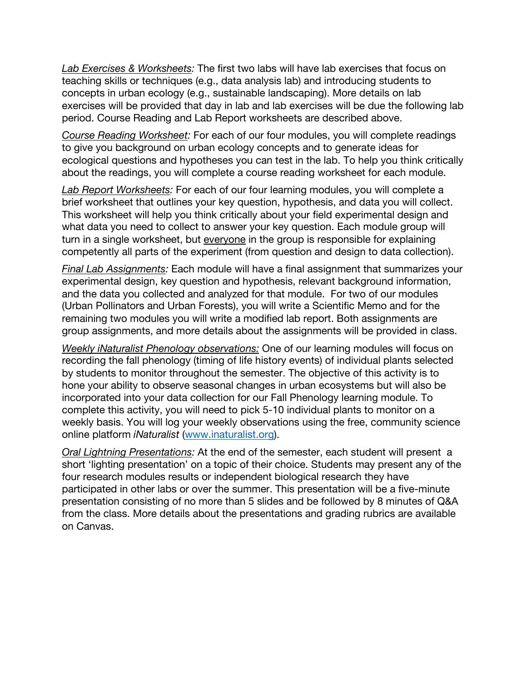*Lab Exercises & Worksheets:* The first two labs will have lab exercises that focus on teaching skills or techniques (e.g., data analysis lab) and introducing students to concepts in urban ecology (e.g., sustainable landscaping). More details on lab exercises will be provided that day in lab and lab exercises will be due the following lab period. Course Reading and Lab Report worksheets are described above.

*Course Reading Worksheet:* For each of our four modules, you will complete readings to give you background on urban ecology concepts and to generate ideas for ecological questions and hypotheses you can test in the lab. To help you think critically about the readings, you will complete a course reading worksheet for each module.

*Lab Report Worksheets:* For each of our four learning modules, you will complete a brief worksheet that outlines your key question, hypothesis, and data you will collect. This worksheet will help you think critically about your field experimental design and what data you need to collect to answer your key question. Each module group will turn in a single worksheet, but everyone in the group is responsible for explaining competently all parts of the experiment (from question and design to data collection).

*Final Lab Assignments:* Each module will have a final assignment that summarizes your experimental design, key question and hypothesis, relevant background information, and the data you collected and analyzed for that module. For two of our modules (Urban Pollinators and Urban Forests), you will write a Scientific Memo and for the remaining two modules you will write a modified lab report. Both assignments are group assignments, and more details about the assignments will be provided in class.

*Weekly iNaturalist Phenology observations:* One of our learning modules will focus on recording the fall phenology (timing of life history events) of individual plants selected by students to monitor throughout the semester. The objective of this activity is to hone your ability to observe seasonal changes in urban ecosystems but will also be incorporated into your data collection for our Fall Phenology learning module. To complete this activity, you will need to pick 5-10 individual plants to monitor on a weekly basis. You will log your weekly observations using the free, community science online platform *iNaturalist* (www.inaturalist.org).

*Oral Lightning Presentations:* At the end of the semester, each student will present a short 'lighting presentation' on a topic of their choice. Students may present any of the four research modules results or independent biological research they have participated in other labs or over the summer. This presentation will be a five-minute presentation consisting of no more than 5 slides and be followed by 8 minutes of Q&A from the class. More details about the presentations and grading rubrics are available on Canvas.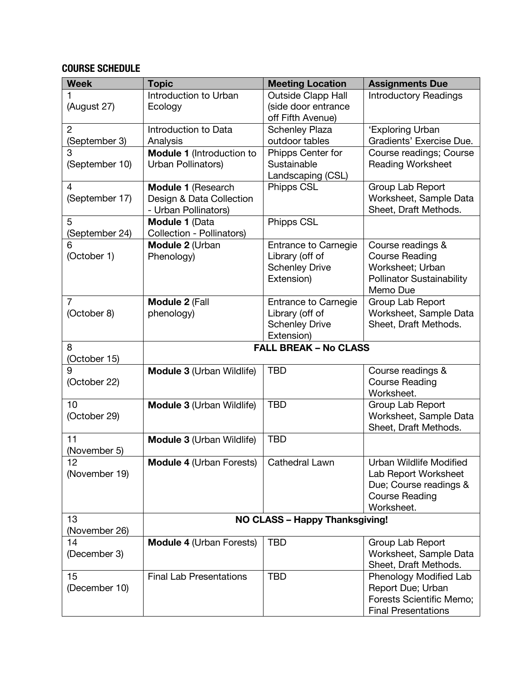# **COURSE SCHEDULE**

| <b>Week</b>    | <b>Topic</b>                     | <b>Meeting Location</b>                  | <b>Assignments Due</b>                          |
|----------------|----------------------------------|------------------------------------------|-------------------------------------------------|
|                | Introduction to Urban            | Outside Clapp Hall                       | <b>Introductory Readings</b>                    |
| (August 27)    | Ecology                          | (side door entrance                      |                                                 |
|                |                                  | off Fifth Avenue)                        |                                                 |
| $\overline{2}$ | Introduction to Data             | <b>Schenley Plaza</b>                    | 'Exploring Urban                                |
| (September 3)  | Analysis                         | outdoor tables                           | Gradients' Exercise Due.                        |
| 3              | Module 1 (Introduction to        | Phipps Center for                        | Course readings; Course                         |
| (September 10) | Urban Pollinators)               | Sustainable                              | <b>Reading Worksheet</b>                        |
|                |                                  | Landscaping (CSL)                        |                                                 |
| 4              | Module 1 (Research               | Phipps CSL                               | Group Lab Report                                |
| (September 17) | Design & Data Collection         |                                          | Worksheet, Sample Data                          |
|                | - Urban Pollinators)             |                                          | Sheet, Draft Methods.                           |
| 5              | Module 1 (Data                   | Phipps CSL                               |                                                 |
| (September 24) | Collection - Pollinators)        |                                          |                                                 |
| 6              | Module 2 (Urban                  | <b>Entrance to Carnegie</b>              | Course readings &                               |
| (October 1)    | Phenology)                       | Library (off of                          | <b>Course Reading</b>                           |
|                |                                  | <b>Schenley Drive</b>                    | Worksheet; Urban                                |
|                |                                  | Extension)                               | <b>Pollinator Sustainability</b>                |
| $\overline{7}$ |                                  |                                          | Memo Due                                        |
|                | Module 2 (Fall                   | <b>Entrance to Carnegie</b>              | Group Lab Report                                |
| (October 8)    | phenology)                       | Library (off of<br><b>Schenley Drive</b> | Worksheet, Sample Data<br>Sheet, Draft Methods. |
|                |                                  | Extension)                               |                                                 |
| 8              |                                  | <b>FALL BREAK - No CLASS</b>             |                                                 |
| (October 15)   |                                  |                                          |                                                 |
| 9              | Module 3 (Urban Wildlife)        | <b>TBD</b>                               | Course readings &                               |
| (October 22)   |                                  |                                          | <b>Course Reading</b>                           |
|                |                                  |                                          | Worksheet.                                      |
| 10             | <b>Module 3 (Urban Wildlife)</b> | <b>TBD</b>                               | Group Lab Report                                |
| (October 29)   |                                  |                                          | Worksheet, Sample Data                          |
|                |                                  |                                          | Sheet, Draft Methods.                           |
| 11             | <b>Module 3 (Urban Wildlife)</b> | <b>TBD</b>                               |                                                 |
| (November 5)   |                                  |                                          |                                                 |
| 12             | <b>Module 4 (Urban Forests)</b>  | Cathedral Lawn                           | Urban Wildlife Modified                         |
| (November 19)  |                                  |                                          | Lab Report Worksheet                            |
|                |                                  |                                          | Due; Course readings &                          |
|                |                                  |                                          | <b>Course Reading</b>                           |
|                |                                  |                                          | Worksheet.                                      |
| 13             | NO CLASS - Happy Thanksgiving!   |                                          |                                                 |
| (November 26)  |                                  |                                          |                                                 |
| 14             | <b>Module 4 (Urban Forests)</b>  | <b>TBD</b>                               | Group Lab Report                                |
| (December 3)   |                                  |                                          | Worksheet, Sample Data                          |
|                |                                  |                                          | Sheet, Draft Methods.                           |
| 15             | <b>Final Lab Presentations</b>   | <b>TBD</b>                               | Phenology Modified Lab                          |
| (December 10)  |                                  |                                          | Report Due; Urban                               |
|                |                                  |                                          | Forests Scientific Memo;                        |
|                |                                  |                                          | <b>Final Presentations</b>                      |